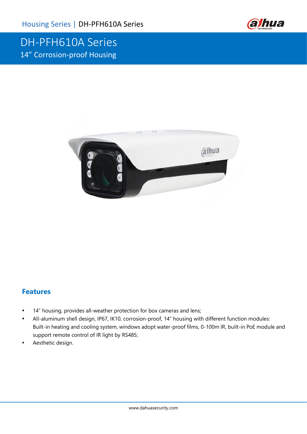

## DH-PFH610A Series 14" Corrosion-proof Housing



### **Features**

- 14" housing, provides all-weather protection for box cameras and lens;
- All-aluminum shell design, IP67, IK10, corrosion-proof, 14" housing with different function modules: Built-in heating and cooling system, windows adopt water-proof films, 0-100m IR, built-in PoE module and support remote control of IR light by RS485;
- Aesthetic design.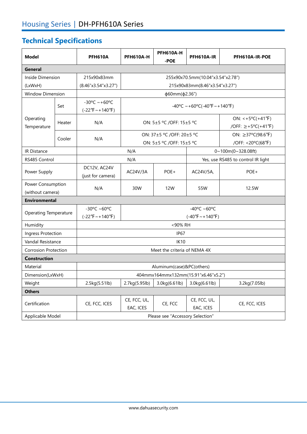# **Technical Specifications**

| <b>Model</b>                          |        | <b>PFH610A</b>                                                 | <b>PFH610A-H</b>                                      | <b>PFH610A-H</b><br>-POE | PFH610A-IR                | PFH610A-IR-POE                                              |  |
|---------------------------------------|--------|----------------------------------------------------------------|-------------------------------------------------------|--------------------------|---------------------------|-------------------------------------------------------------|--|
| <b>General</b>                        |        |                                                                |                                                       |                          |                           |                                                             |  |
| Inside Dimension                      |        | 215x90x83mm                                                    | 255x90x70.5mm(10.04"x3.54"x2.78")                     |                          |                           |                                                             |  |
| (LxWxH)                               |        | (8.46"x3.54"x3.27")                                            | 215x90x83mm(8.46"x3.54"x3.27")                        |                          |                           |                                                             |  |
| <b>Window Dimension</b>               |        |                                                                | ф60mm(ф2.36")                                         |                          |                           |                                                             |  |
| Operating<br>Temperature              | Set    | $-30^{\circ}$ C ~ +60°C<br>$(-22^{\circ}F \sim +140^{\circ}F)$ | $-40^{\circ}$ C ~ +60°C(-40°F ~ +140°F)               |                          |                           |                                                             |  |
|                                       | Heater | N/A                                                            | ON: 5±5 °C /OFF: 15±5 °C                              |                          |                           | $ON: <+5°C(+41°F)$<br>/OFF: $\ge +5^{\circ}C(+41^{\circ}F)$ |  |
|                                       | Cooler | N/A                                                            | ON: 37±5 °C /OFF: 20±5 °C<br>ON: 5±5 °C /OFF: 15±5 °C |                          |                           | ON: ≥37°C(98.6°F)<br>/OFF: <20°C(68°F)                      |  |
| <b>IR Distance</b>                    |        |                                                                | N/A                                                   |                          |                           | 0~100m(0~328.08ft)                                          |  |
| RS485 Control                         |        |                                                                | N/A                                                   |                          |                           | Yes, use RS485 to control IR light                          |  |
| Power Supply                          |        | DC12V, AC24V<br>(just for camera)                              | AC24V/3A                                              | POE+                     | AC24V/5A,                 | POE+                                                        |  |
| Power Consumption<br>(without camera) |        | N/A                                                            | 30W                                                   | 12W                      | 55W                       | 12.5W                                                       |  |
| <b>Environmental</b>                  |        |                                                                |                                                       |                          |                           |                                                             |  |
| <b>Operating Temperature</b>          |        | -30°C ~60°C<br>$(-22^{\circ}F \sim +140^{\circ}F)$             | -40°C ~60°C<br>$(-40^{\circ}F \sim +140^{\circ}F)$    |                          |                           |                                                             |  |
| Humidity                              |        | <90% RH                                                        |                                                       |                          |                           |                                                             |  |
| Ingress Protection                    |        | IP <sub>67</sub>                                               |                                                       |                          |                           |                                                             |  |
| Vandal Resistance                     |        | <b>IK10</b>                                                    |                                                       |                          |                           |                                                             |  |
| <b>Corrosion Protection</b>           |        | Meet the criteria of NEMA 4X                                   |                                                       |                          |                           |                                                             |  |
| <b>Construction</b>                   |        |                                                                |                                                       |                          |                           |                                                             |  |
| Material                              |        | Aluminum(case)&PC(others)                                      |                                                       |                          |                           |                                                             |  |
| Dimension(LxWxH)                      |        | 404mmx164mmx132mm(15.91"x6.46"x5.2")                           |                                                       |                          |                           |                                                             |  |
| Weight                                |        | 2.5kg(5.51lb)                                                  | 2.7kg(5.95lb)                                         | 3.0kg(6.61lb)            | 3.0kg(6.61lb)             | 3.2kg(7.05lb)                                               |  |
| <b>Others</b>                         |        |                                                                |                                                       |                          |                           |                                                             |  |
| Certification                         |        | CE, FCC, ICES                                                  | CE, FCC, UL,<br>EAC, ICES                             | CE, FCC                  | CE, FCC, UL,<br>EAC, ICES | CE, FCC, ICES                                               |  |
| Applicable Model                      |        | Please see "Accessory Selection"                               |                                                       |                          |                           |                                                             |  |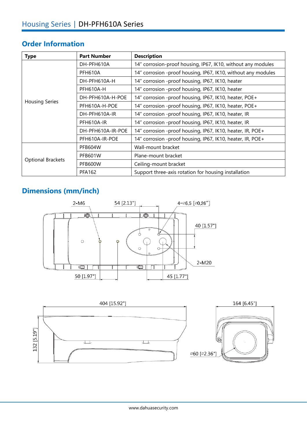### **Order Information**

| <b>Type</b>              | <b>Part Number</b> | <b>Description</b>                                            |  |  |
|--------------------------|--------------------|---------------------------------------------------------------|--|--|
|                          | DH-PFH610A         | 14" corrosion-proof housing, IP67, IK10, without any modules  |  |  |
|                          | PFH610A            | 14" corrosion -proof housing, IP67, IK10, without any modules |  |  |
|                          | DH-PFH610A-H       | 14" corrosion -proof housing, IP67, IK10, heater              |  |  |
|                          | <b>PFH610A-H</b>   | 14" corrosion -proof housing, IP67, IK10, heater              |  |  |
|                          | DH-PFH610A-H-POE   | 14" corrosion -proof housing, IP67, IK10, heater, POE+        |  |  |
| <b>Housing Series</b>    | PFH610A-H-POE      | 14" corrosion -proof housing, IP67, IK10, heater, POE+        |  |  |
|                          | DH-PFH610A-IR      | 14" corrosion -proof housing, IP67, IK10, heater, IR          |  |  |
|                          | PFH610A-IR         | 14" corrosion -proof housing, IP67, IK10, heater, IR          |  |  |
|                          | DH-PFH610A-IR-POE  | 14" corrosion -proof housing, IP67, IK10, heater, IR, POE+    |  |  |
|                          | PFH610A-IR-POE     | 14" corrosion -proof housing, IP67, IK10, heater, IR, POE+    |  |  |
|                          | PFB604W            | Wall-mount bracket                                            |  |  |
|                          | <b>PFB601W</b>     | Plane-mount bracket                                           |  |  |
| <b>Optional Brackets</b> | PFB600W            | Ceiling-mount bracket                                         |  |  |
|                          | <b>PFA162</b>      | Support three-axis rotation for housing installation          |  |  |

## **Dimensions (mm/inch)**